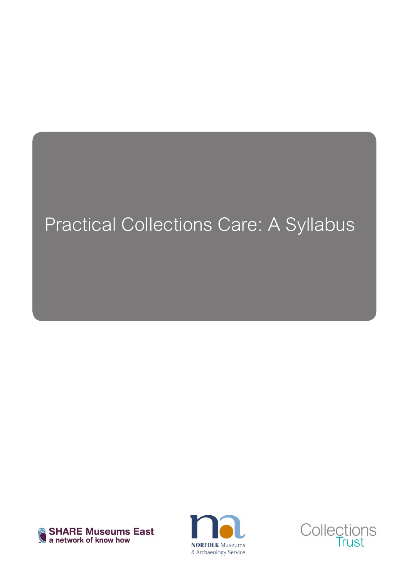### Practical Collections Care: A Syllabus





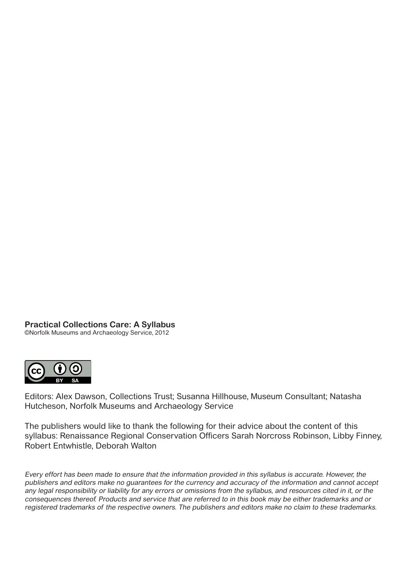**Practical Collections Care: A Syllabus**

©Norfolk Museums and Archaeology Service, 2012



Editors: Alex Dawson, Collections Trust; Susanna Hillhouse, Museum Consultant; Natasha Hutcheson, Norfolk Museums and Archaeology Service

The publishers would like to thank the following for their advice about the content of this syllabus: Renaissance Regional Conservation Officers Sarah Norcross Robinson, Libby Finney, Robert Entwhistle, Deborah Walton

Every effort has been made to ensure that the information provided in this syllabus is accurate. However, the publishers and editors make no guarantees for the currency and accuracy of the information and cannot accept any legal responsibility or liability for any errors or omissions from the syllabus, and resources cited in it, or the consequences thereof. Products and service that are referred to in this book may be either trademarks and or registered trademarks of the respective owners. The publishers and editors make no claim to these trademarks.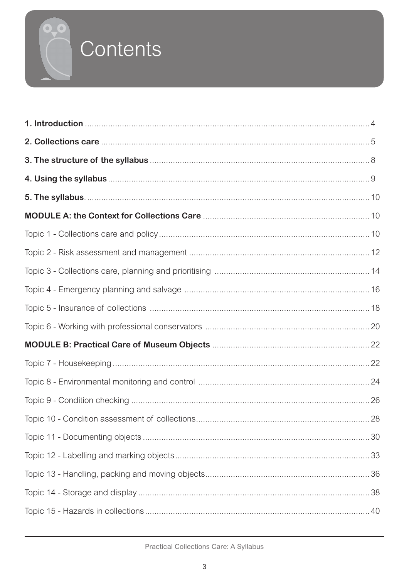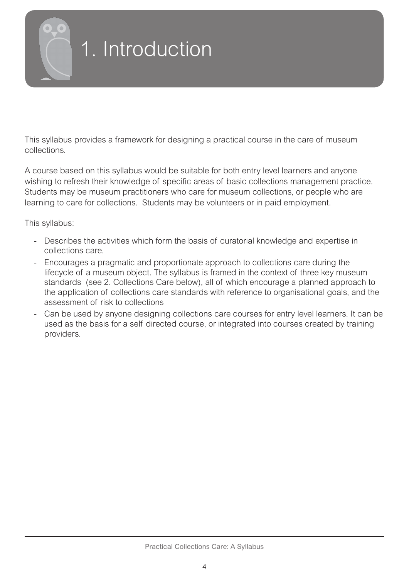<span id="page-3-0"></span>

# 1. Introduction

This syllabus provides a framework for designing a practical course in the care of museum collections.

A course based on this syllabus would be suitable for both entry level learners and anyone wishing to refresh their knowledge of specific areas of basic collections management practice. Students may be museum practitioners who care for museum collections, or people who are learning to care for collections. Students may be volunteers or in paid employment.

This syllabus:

- Describes the activities which form the basis of curatorial knowledge and expertise in collections care.
- Encourages a pragmatic and proportionate approach to collections care during the lifecycle of a museum object. The syllabus is framed in the context of three key museum standards (see 2. Collections Care below), all of which encourage a planned approach to the application of collections care standards with reference to organisational goals, and the assessment of risk to collections
- Can be used by anyone designing collections care courses for entry level learners. It can be used as the basis for a self directed course, or integrated into courses created by training providers.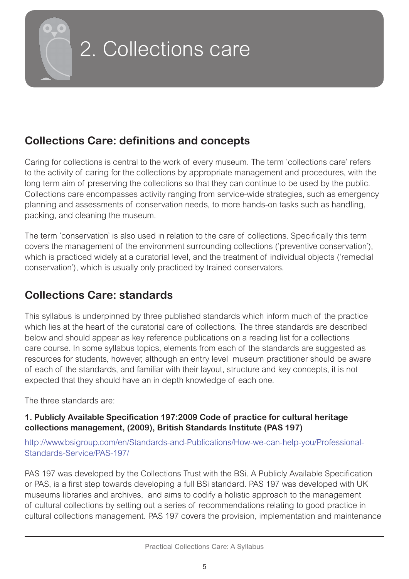<span id="page-4-0"></span>

### 2. Collections care

### **Collections Care: definitions and concepts**

Caring for collections is central to the work of every museum. The term 'collections care' refers to the activity of caring for the collections by appropriate management and procedures, with the long term aim of preserving the collections so that they can continue to be used by the public. Collections care encompasses activity ranging from service-wide strategies, such as emergency planning and assessments of conservation needs, to more hands-on tasks such as handling, packing, and cleaning the museum.

The term 'conservation' is also used in relation to the care of collections. Specifically this term covers the management of the environment surrounding collections ('preventive conservation'), which is practiced widely at a curatorial level, and the treatment of individual objects ('remedial conservation'), which is usually only practiced by trained conservators.

### **Collections Care: standards**

This syllabus is underpinned by three published standards which inform much of the practice which lies at the heart of the curatorial care of collections. The three standards are described below and should appear as key reference publications on a reading list for a collections care course. In some syllabus topics, elements from each of the standards are suggested as resources for students, however, although an entry level museum practitioner should be aware of each of the standards, and familiar with their layout, structure and key concepts, it is not expected that they should have an in depth knowledge of each one.

The three standards are:

#### **1. Publicly Available Specification 197:2009 Code of practice for cultural heritage collections management, (2009), British Standards Institute (PAS 197)**

http://www.bsigroup.com/en/Standards-and-Publications/How-we-can-help-you/Professional-Standards-Service/PAS-197/

PAS 197 was developed by the Collections Trust with the BSi. A Publicly Available Specification or PAS, is a first step towards developing a full BSi standard. PAS 197 was developed with UK museums libraries and archives, and aims to codify a holistic approach to the management of cultural collections by setting out a series of recommendations relating to good practice in cultural collections management. PAS 197 covers the provision, implementation and maintenance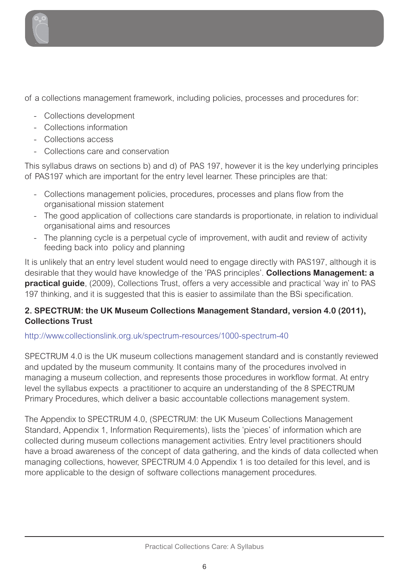

of a collections management framework, including policies, processes and procedures for:

- Collections development
- Collections information
- Collections access
- Collections care and conservation

This syllabus draws on sections b) and d) of PAS 197, however it is the key underlying principles of PAS197 which are important for the entry level learner. These principles are that:

- Collections management policies, procedures, processes and plans flow from the organisational mission statement
- The good application of collections care standards is proportionate, in relation to individual organisational aims and resources
- The planning cycle is a perpetual cycle of improvement, with audit and review of activity feeding back into policy and planning

It is unlikely that an entry level student would need to engage directly with PAS197, although it is desirable that they would have knowledge of the 'PAS principles'. **Collections Management: a practical guide**, (2009), Collections Trust, offers a very accessible and practical 'way in' to PAS 197 thinking, and it is suggested that this is easier to assimilate than the BSi specification.

#### **2. SPECTRUM: the UK Museum Collections Management Standard, version 4.0 (2011), Collections Trust**

#### http://www.collectionslink.org.uk/spectrum-resources/1000-spectrum-40

SPECTRUM 4.0 is the UK museum collections management standard and is constantly reviewed and updated by the museum community. It contains many of the procedures involved in managing a museum collection, and represents those procedures in workflow format. At entry level the syllabus expects a practitioner to acquire an understanding of the 8 SPECTRUM Primary Procedures, which deliver a basic accountable collections management system.

The Appendix to SPECTRUM 4.0, (SPECTRUM: the UK Museum Collections Management Standard, Appendix 1, Information Requirements), lists the 'pieces' of information which are collected during museum collections management activities. Entry level practitioners should have a broad awareness of the concept of data gathering, and the kinds of data collected when managing collections, however, SPECTRUM 4.0 Appendix 1 is too detailed for this level, and is more applicable to the design of software collections management procedures.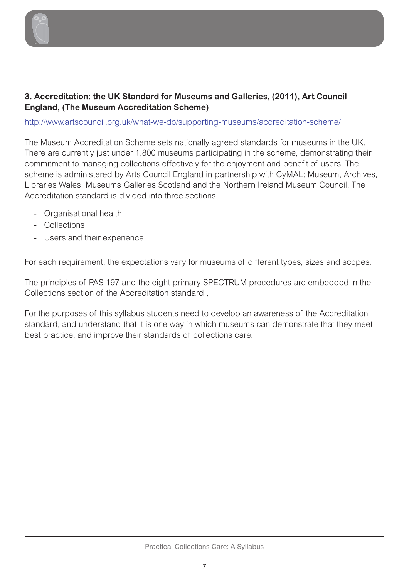

#### **3. Accreditation: the UK Standard for Museums and Galleries, (2011), Art Council England, (The Museum Accreditation Scheme)**

http://www.artscouncil.org.uk/what-we-do/supporting-museums/accreditation-scheme/

The Museum Accreditation Scheme sets nationally agreed standards for museums in the UK. There are currently just under 1,800 museums participating in the scheme, demonstrating their commitment to managing collections effectively for the enjoyment and benefit of users. The scheme is administered by Arts Council England in partnership with CyMAL: Museum, Archives, Libraries Wales; Museums Galleries Scotland and the Northern Ireland Museum Council. The Accreditation standard is divided into three sections:

- Organisational health
- Collections
- Users and their experience

For each requirement, the expectations vary for museums of different types, sizes and scopes.

The principles of PAS 197 and the eight primary SPECTRUM procedures are embedded in the Collections section of the Accreditation standard.,

For the purposes of this syllabus students need to develop an awareness of the Accreditation standard, and understand that it is one way in which museums can demonstrate that they meet best practice, and improve their standards of collections care.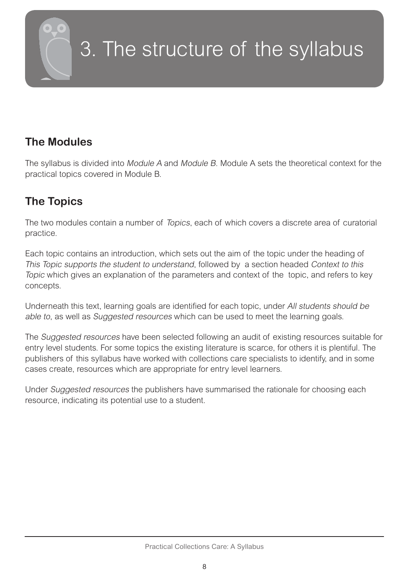<span id="page-7-0"></span>

# 3. The structure of the syllabus

### **The Modules**

The syllabus is divided into Module A and Module B. Module A sets the theoretical context for the practical topics covered in Module B.

### **The Topics**

The two modules contain a number of Topics, each of which covers a discrete area of curatorial practice.

Each topic contains an introduction, which sets out the aim of the topic under the heading of This Topic supports the student to understand, followed by a section headed Context to this Topic which gives an explanation of the parameters and context of the topic, and refers to key concepts.

Underneath this text, learning goals are identified for each topic, under All students should be able to, as well as Suggested resources which can be used to meet the learning goals.

The Suggested resources have been selected following an audit of existing resources suitable for entry level students. For some topics the existing literature is scarce, for others it is plentiful. The publishers of this syllabus have worked with collections care specialists to identify, and in some cases create, resources which are appropriate for entry level learners.

Under Suggested resources the publishers have summarised the rationale for choosing each resource, indicating its potential use to a student.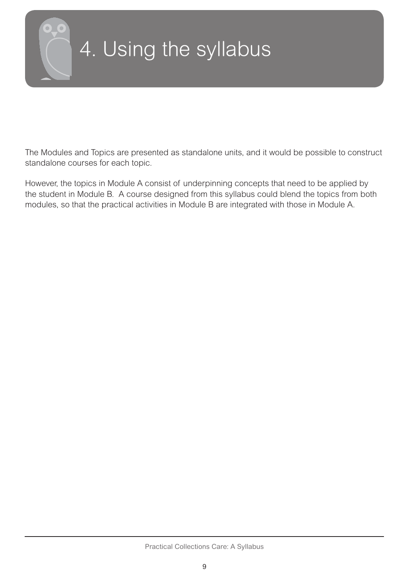<span id="page-8-0"></span>

# 4. Using the syllabus

The Modules and Topics are presented as standalone units, and it would be possible to construct standalone courses for each topic.

However, the topics in Module A consist of underpinning concepts that need to be applied by the student in Module B. A course designed from this syllabus could blend the topics from both modules, so that the practical activities in Module B are integrated with those in Module A.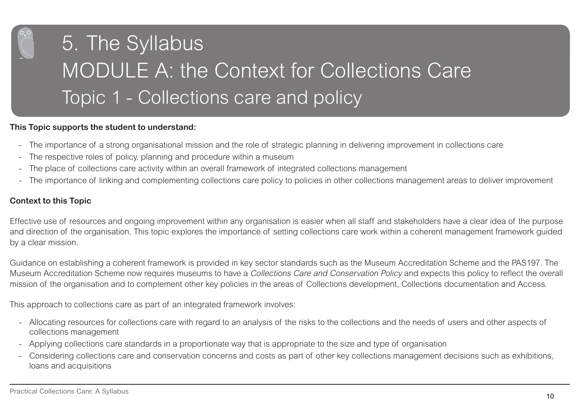<span id="page-9-0"></span>

#### **This Topic supports the student to understand:**

- -The importance of a strong organisational mission and the role of strategic planning in delivering improvement in collections care
- -The respective roles of policy, planning and procedure within a museum
- -The place of collections care activity within an overall framework of integrated collections management
- -The importance of linking and complementing collections care policy to policies in other collections management areas to deliver improvement

#### **Context to this Topic**

Effective use of resources and ongoing improvement within any organisation is easier when all staff and stakeholders have a clear idea of the purpose and direction of the organisation. This topic explores the importance of setting collections care work within a coherent management framework guided by a clear mission.

Guidance on establishing a coherent framework is provided in key sector standards such as the Museum Accreditation Scheme and the PAS197. The Museum Accreditation Scheme now requires museums to have a Collections Care and Conservation Policy and expects this policy to reflect the overall mission of the organisation and to complement other key policies in the areas of Collections development, Collections documentation and Access.

This approach to collections care as part of an integrated framework involves:

- Allocating resources for collections care with regard to an analysis of the risks to the collections and the needs of users and other aspects of collections management
- Applying collections care standards in a proportionate way that is appropriate to the size and type of organisation
- - Considering collections care and conservation concerns and costs as part of other key collections management decisions such as exhibitions, loans and acquisitions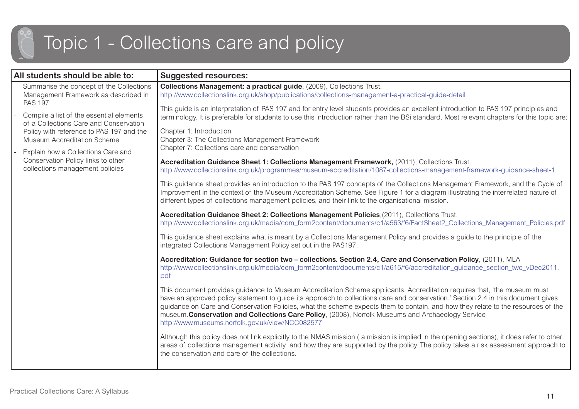### Topic 1 - Collections care and policy

| All students should be able to:                                                                      | <b>Suggested resources:</b>                                                                                                                                                                                                                                                                                                                                                                                                                                                                                                                                |
|------------------------------------------------------------------------------------------------------|------------------------------------------------------------------------------------------------------------------------------------------------------------------------------------------------------------------------------------------------------------------------------------------------------------------------------------------------------------------------------------------------------------------------------------------------------------------------------------------------------------------------------------------------------------|
| Summarise the concept of the Collections<br>Management Framework as described in                     | Collections Management: a practical guide, (2009), Collections Trust.<br>http://www.collectionslink.org.uk/shop/publications/collections-management-a-practical-guide-detail                                                                                                                                                                                                                                                                                                                                                                               |
| <b>PAS 197</b><br>Compile a list of the essential elements<br>of a Collections Care and Conservation | This guide is an interpretation of PAS 197 and for entry level students provides an excellent introduction to PAS 197 principles and<br>terminology. It is preferable for students to use this introduction rather than the BSi standard. Most relevant chapters for this topic are:                                                                                                                                                                                                                                                                       |
| Policy with reference to PAS 197 and the<br>Museum Accreditation Scheme.                             | Chapter 1: Introduction<br>Chapter 3: The Collections Management Framework                                                                                                                                                                                                                                                                                                                                                                                                                                                                                 |
| Explain how a Collections Care and                                                                   | Chapter 7: Collections care and conservation                                                                                                                                                                                                                                                                                                                                                                                                                                                                                                               |
| Conservation Policy links to other<br>collections management policies                                | Accreditation Guidance Sheet 1: Collections Management Framework, (2011), Collections Trust.<br>http://www.collectionslink.org.uk/programmes/museum-accreditation/1087-collections-management-framework-guidance-sheet-1                                                                                                                                                                                                                                                                                                                                   |
|                                                                                                      | This guidance sheet provides an introduction to the PAS 197 concepts of the Collections Management Framework, and the Cycle of<br>Improvement in the context of the Museum Accreditation Scheme. See Figure 1 for a diagram illustrating the interrelated nature of<br>different types of collections management policies, and their link to the organisational mission.                                                                                                                                                                                   |
|                                                                                                      | Accreditation Guidance Sheet 2: Collections Management Policies, (2011), Collections Trust.<br>http://www.collectionslink.org.uk/media/com_form2content/documents/c1/a563/f6/FactSheet2_Collections_Management_Policies.pdf                                                                                                                                                                                                                                                                                                                                |
|                                                                                                      | This guidance sheet explains what is meant by a Collections Management Policy and provides a guide to the principle of the<br>integrated Collections Management Policy set out in the PAS197.                                                                                                                                                                                                                                                                                                                                                              |
|                                                                                                      | Accreditation: Guidance for section two - collections. Section 2.4, Care and Conservation Policy, (2011), MLA<br>http://www.collectionslink.org.uk/media/com_form2content/documents/c1/a615/f6/accreditation_guidance_section_two_vDec2011.<br>pdf                                                                                                                                                                                                                                                                                                         |
|                                                                                                      | This document provides guidance to Museum Accreditation Scheme applicants. Accreditation requires that, 'the museum must<br>have an approved policy statement to guide its approach to collections care and conservation.' Section 2.4 in this document gives<br>guidance on Care and Conservation Policies, what the scheme expects them to contain, and how they relate to the resources of the<br>museum. Conservation and Collections Care Policy, (2008), Norfolk Museums and Archaeology Service<br>http://www.museums.norfolk.gov.uk/view/NCC082577 |
|                                                                                                      | Although this policy does not link explicitly to the NMAS mission (a mission is implied in the opening sections), it does refer to other<br>areas of collections management activity and how they are supported by the policy. The policy takes a risk assessment approach to<br>the conservation and care of the collections.                                                                                                                                                                                                                             |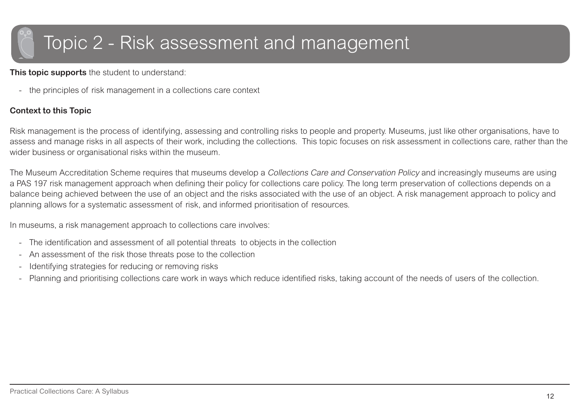### <span id="page-11-0"></span>Topic 2 - Risk assessment and management

**This topic supports** the student to understand:

the principles of risk management in a collections care context

#### **Context to this Topic**

Risk management is the process of identifying, assessing and controlling risks to people and property. Museums, just like other organisations, have to assess and manage risks in all aspects of their work, including the collections. This topic focuses on risk assessment in collections care, rather than the wider business or organisational risks within the museum.

The Museum Accreditation Scheme requires that museums develop a Collections Care and Conservation Policy and increasingly museums are using a PAS 197 risk management approach when defining their policy for collections care policy. The long term preservation of collections depends on a balance being achieved between the use of an object and the risks associated with the use of an object. A risk management approach to policy and planning allows for a systematic assessment of risk, and informed prioritisation of resources.

In museums, a risk management approach to collections care involves:

- -The identification and assessment of all potential threats to objects in the collection
- -An assessment of the risk those threats pose to the collection
- -Identifying strategies for reducing or removing risks
- -Planning and prioritising collections care work in ways which reduce identified risks, taking account of the needs of users of the collection.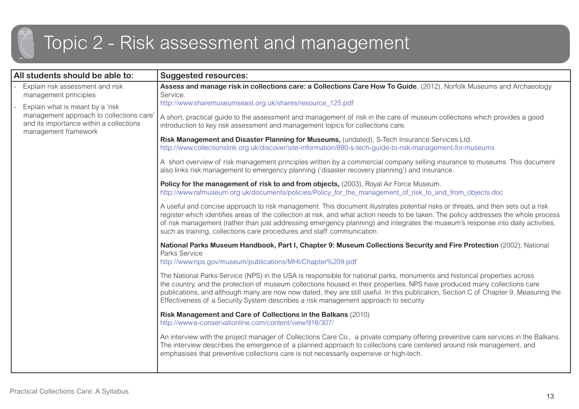### Topic 2 - Risk assessment and management

| All students should be able to:                                                                            | <b>Suggested resources:</b>                                                                                                                                                                                                                                                                                                                                                                                                                                                           |
|------------------------------------------------------------------------------------------------------------|---------------------------------------------------------------------------------------------------------------------------------------------------------------------------------------------------------------------------------------------------------------------------------------------------------------------------------------------------------------------------------------------------------------------------------------------------------------------------------------|
| Explain risk assessment and risk<br>management principles                                                  | Assess and manage risk in collections care: a Collections Care How To Guide, (2012), Norfolk Museums and Archaeology<br>Service.                                                                                                                                                                                                                                                                                                                                                      |
| Explain what is meant by a 'risk                                                                           | http://www.sharemuseumseast.org.uk/shares/resource_125.pdf                                                                                                                                                                                                                                                                                                                                                                                                                            |
| management approach to collections care<br>and its importance within a collections<br>management framework | A short, practical guide to the assessment and management of risk in the care of museum collections which provides a good<br>introduction to key risk assessment and management topics for collections care.                                                                                                                                                                                                                                                                          |
|                                                                                                            | Risk Management and Disaster Planning for Museums, (undated), S-Tech Insurance Services Ltd.<br>http://www.collectionslink.org.uk/discover/site-information/890-s-tech-quide-to-risk-management-for-museums                                                                                                                                                                                                                                                                           |
|                                                                                                            | A short overview of risk management principles written by a commercial company selling insurance to museums. This document<br>also links risk management to emergency planning ('disaster recovery planning') and insurance.                                                                                                                                                                                                                                                          |
|                                                                                                            | Policy for the management of risk to and from objects, (2003), Royal Air Force Museum.<br>http://www.rafmuseum.org.uk/documents/policies/Policy_for_the_management_of_risk_to_and_from_objects.doc                                                                                                                                                                                                                                                                                    |
|                                                                                                            | A useful and concise approach to risk management. This document illustrates potential risks or threats, and then sets out a risk<br>register which identifies areas of the collection at risk, and what action needs to be taken. The policy addresses the whole process<br>of risk management (rather than just addressing emergency planning) and integrates the museum's response into daily activities,<br>such as training, collections care procedures and staff communication. |
|                                                                                                            | National Parks Museum Handbook, Part I, Chapter 9: Museum Collections Security and Fire Protection (2002), National<br>Parks Service<br>http://www.nps.gov/museum/publications/MHI/Chapter%209.pdf                                                                                                                                                                                                                                                                                    |
|                                                                                                            | The National Parks Service (NPS) in the USA is responsible for national parks, monuments and historical properties across<br>the country, and the protection of museum collections housed in their properties. NPS have produced many collections care<br>publications, and although many are now now dated, they are still useful. In this publication, Section C of Chapter 9, Measuring the<br>Effectiveness of a Security System describes a risk management approach to security |
|                                                                                                            | Risk Management and Care of Collections in the Balkans (2010)<br>http://www.e-conservationline.com/content/view/916/307/                                                                                                                                                                                                                                                                                                                                                              |
|                                                                                                            | An interview with the project manager of Collections Care Co., a private company offering preventive care services in the Balkans.<br>The interview describes the emergence of a planned approach to collections care centered around risk management, and<br>emphasises that preventive collections care is not necessarily expensive or high-tech.                                                                                                                                  |
|                                                                                                            |                                                                                                                                                                                                                                                                                                                                                                                                                                                                                       |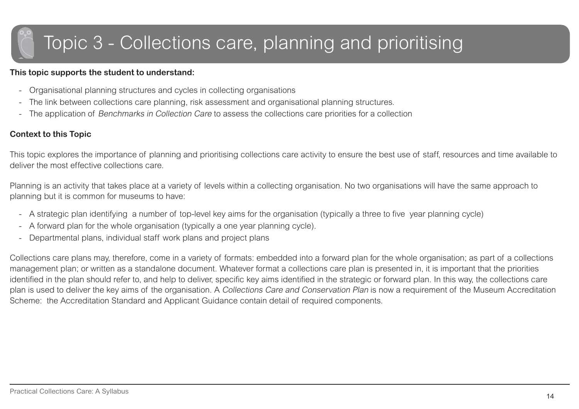### <span id="page-13-0"></span>Topic 3 - Collections care, planning and prioritising

#### **This topic supports the student to understand:**

- -Organisational planning structures and cycles in collecting organisations
- -The link between collections care planning, risk assessment and organisational planning structures.
- -The application of Benchmarks in Collection Care to assess the collections care priorities for a collection

#### **Context to this Topic**

This topic explores the importance of planning and prioritising collections care activity to ensure the best use of staff, resources and time available to deliver the most effective collections care.

Planning is an activity that takes place at a variety of levels within a collecting organisation. No two organisations will have the same approach to planning but it is common for museums to have:

- -A strategic plan identifying a number of top-level key aims for the organisation (typically a three to five year planning cycle)
- -A forward plan for the whole organisation (typically a one year planning cycle).
- -Departmental plans, individual staff work plans and project plans

Collections care plans may, therefore, come in a variety of formats: embedded into a forward plan for the whole organisation; as part of a collections management plan; or written as a standalone document. Whatever format a collections care plan is presented in, it is important that the priorities identified in the plan should refer to, and help to deliver, specific key aims identified in the strategic or forward plan. In this way, the collections care plan is used to deliver the key aims of the organisation. A Collections Care and Conservation Plan is now a requirement of the Museum Accreditation Scheme: the Accreditation Standard and Applicant Guidance contain detail of required components.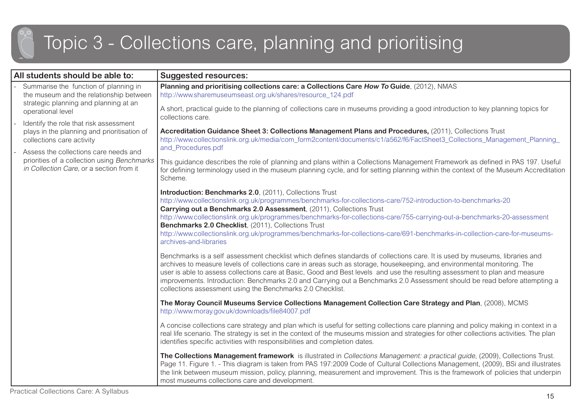### Topic 3 - Collections care, planning and prioritising

|  | All students should be able to:                                                                                                                                                                                                                                             | <b>Suggested resources:</b>                                                                                                                                                                                                                                                                                                                                                                                                                                                                                                                                                        |
|--|-----------------------------------------------------------------------------------------------------------------------------------------------------------------------------------------------------------------------------------------------------------------------------|------------------------------------------------------------------------------------------------------------------------------------------------------------------------------------------------------------------------------------------------------------------------------------------------------------------------------------------------------------------------------------------------------------------------------------------------------------------------------------------------------------------------------------------------------------------------------------|
|  | Summarise the function of planning in<br>the museum and the relationship between<br>strategic planning and planning at an                                                                                                                                                   | Planning and prioritising collections care: a Collections Care How To Guide, (2012), NMAS<br>http://www.sharemuseumseast.org.uk/shares/resource_124.pdf                                                                                                                                                                                                                                                                                                                                                                                                                            |
|  | operational level<br>Identify the role that risk assessment<br>plays in the planning and prioritisation of<br>collections care activity<br>Assess the collections care needs and<br>priorities of a collection using Benchmarks<br>in Collection Care, or a section from it | A short, practical guide to the planning of collections care in museums providing a good introduction to key planning topics for<br>collections care.                                                                                                                                                                                                                                                                                                                                                                                                                              |
|  |                                                                                                                                                                                                                                                                             | Accreditation Guidance Sheet 3: Collections Management Plans and Procedures, (2011), Collections Trust<br>http://www.collectionslink.org.uk/media/com_form2content/documents/c1/a562/f6/FactSheet3_Collections_Management_Planning_<br>and_Procedures.pdf                                                                                                                                                                                                                                                                                                                          |
|  |                                                                                                                                                                                                                                                                             | This guidance describes the role of planning and plans within a Collections Management Framework as defined in PAS 197. Useful<br>for defining terminology used in the museum planning cycle, and for setting planning within the context of the Museum Accreditation<br>Scheme.                                                                                                                                                                                                                                                                                                   |
|  |                                                                                                                                                                                                                                                                             | Introduction: Benchmarks 2.0, (2011), Collections Trust<br>http://www.collectionslink.org.uk/programmes/benchmarks-for-collections-care/752-introduction-to-benchmarks-20                                                                                                                                                                                                                                                                                                                                                                                                          |
|  |                                                                                                                                                                                                                                                                             | Carrying out a Benchmarks 2.0 Assessment, (2011), Collections Trust<br>http://www.collectionslink.org.uk/programmes/benchmarks-for-collections-care/755-carrying-out-a-benchmarks-20-assessment<br>Benchmarks 2.0 Checklist, (2011), Collections Trust<br>http://www.collectionslink.org.uk/programmes/benchmarks-for-collections-care/691-benchmarks-in-collection-care-for-museums-<br>archives-and-libraries                                                                                                                                                                    |
|  |                                                                                                                                                                                                                                                                             | Benchmarks is a self assessment checklist which defines standards of collections care. It is used by museums, libraries and<br>archives to measure levels of collections care in areas such as storage, housekeeping, and environmental monitoring. The<br>user is able to assess collections care at Basic, Good and Best levels and use the resulting assessment to plan and measure<br>improvements. Introduction: Benchmarks 2.0 and Carrying out a Benchmarks 2.0 Assessment should be read before attempting a<br>collections assessment using the Benchmarks 2.0 Checklist. |
|  |                                                                                                                                                                                                                                                                             | The Moray Council Museums Service Collections Management Collection Care Strategy and Plan, (2008), MCMS<br>http://www.moray.gov.uk/downloads/file84007.pdf                                                                                                                                                                                                                                                                                                                                                                                                                        |
|  |                                                                                                                                                                                                                                                                             | A concise collections care strategy and plan which is useful for setting collections care planning and policy making in context in a<br>real life scenario. The strategy is set in the context of the museums mission and strategies for other collections activities. The plan<br>identifies specific activities with responsibilities and completion dates.                                                                                                                                                                                                                      |
|  |                                                                                                                                                                                                                                                                             | The Collections Management framework is illustrated in Collections Management: a practical guide, (2009), Collections Trust.<br>Page 11. Figure 1. - This diagram is taken from PAS 197:2009 Code of Cultural Collections Management, (2009), BSi and illustrates<br>the link between museum mission, policy, planning, measurement and improvement. This is the framework of policies that underpin<br>most museums collections care and development.                                                                                                                             |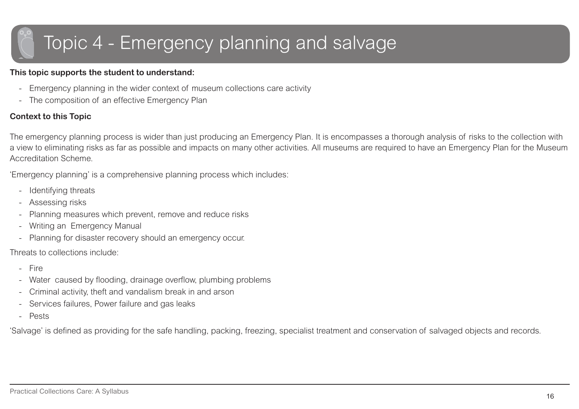## <span id="page-15-0"></span>Topic 4 - Emergency planning and salvage

#### **This topic supports the student to understand:**

- -Emergency planning in the wider context of museum collections care activity
- -The composition of an effective Emergency Plan

#### **Context to this Topic**

The emergency planning process is wider than just producing an Emergency Plan. It is encompasses a thorough analysis of risks to the collection with a view to eliminating risks as far as possible and impacts on many other activities. All museums are required to have an Emergency Plan for the Museum Accreditation Scheme.

'Emergency planning' is a comprehensive planning process which includes:

- -Identifying threats
- -Assessing risks
- -Planning measures which prevent, remove and reduce risks
- -Writing an Emergency Manual
- -Planning for disaster recovery should an emergency occur.

Threats to collections include:

- -Fire
- -Water caused by flooding, drainage overflow, plumbing problems
- -Criminal activity, theft and vandalism break in and arson
- -Services failures, Power failure and gas leaks
- -Pests

'Salvage' is defined as providing for the safe handling, packing, freezing, specialist treatment and conservation of salvaged objects and records.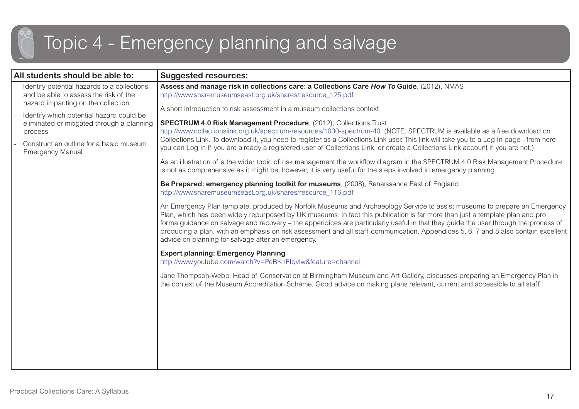### Topic 4 - Emergency planning and salvage

| All students should be able to:                                                                                            | <b>Suggested resources:</b>                                                                                                                                                                                                                                                                                                                                                                                                                                                                                                                                                                 |
|----------------------------------------------------------------------------------------------------------------------------|---------------------------------------------------------------------------------------------------------------------------------------------------------------------------------------------------------------------------------------------------------------------------------------------------------------------------------------------------------------------------------------------------------------------------------------------------------------------------------------------------------------------------------------------------------------------------------------------|
| Identify potential hazards to a collections<br>and be able to assess the risk of the<br>hazard impacting on the collection | Assess and manage risk in collections care: a Collections Care How To Guide, (2012), NMAS<br>http://www.sharemuseumseast.org.uk/shares/resource_125.pdf                                                                                                                                                                                                                                                                                                                                                                                                                                     |
| Identify which potential hazard could be<br>eliminated or mitigated through a planning<br>process                          | A short introduction to risk assessment in a museum collections context.<br><b>SPECTRUM 4.0 Risk Management Procedure, (2012), Collections Trust</b><br>http://www.collectionslink.org.uk/spectrum-resources/1000-spectrum-40 (NOTE: SPECTRUM is available as a free download on                                                                                                                                                                                                                                                                                                            |
| Construct an outline for a basic museum<br>Emergency Manual.                                                               | Collections Link. To download it, you need to register as a Collections Link user. This link will take you to a Log In page - from here<br>you can Log In if you are already a registered user of Collections Link, or create a Collections Link account if you are not.)                                                                                                                                                                                                                                                                                                                   |
|                                                                                                                            | As an illustration of a the wider topic of risk management the workflow diagram in the SPECTRUM 4.0 Risk Management Procedure<br>is not as comprehensive as it might be, however, it is very useful for the steps involved in emergency planning.                                                                                                                                                                                                                                                                                                                                           |
|                                                                                                                            | Be Prepared: emergency planning toolkit for museums, (2008), Renaissance East of England<br>http://www.sharemuseumseast.org.uk/shares/resource 116.pdf                                                                                                                                                                                                                                                                                                                                                                                                                                      |
|                                                                                                                            | An Emergency Plan template, produced by Norfolk Museums and Archaeology Service to assist museums to prepare an Emergency<br>Plan, which has been widely repurposed by UK museums. In fact this publication is far more than just a template plan and pro<br>forma guidance on salvage and recovery – the appendices are particularly useful in that they guide the user through the process of<br>producing a plan, with an emphasis on risk assessment and all staff communication. Appendices 5, 6, 7 and 8 also contain excellent<br>advice on planning for salvage after an emergency. |
|                                                                                                                            | <b>Expert planning: Emergency Planning</b><br>http://www.youtube.com/watch?v=PeBK1Flqvlw&feature=channel                                                                                                                                                                                                                                                                                                                                                                                                                                                                                    |
|                                                                                                                            | Jane Thompson-Webb, Head of Conservation at Birmingham Museum and Art Gallery, discusses preparing an Emergency Plan in<br>the context of the Museum Accreditation Scheme. Good advice on making plans relevant, current and accessible to all staff.                                                                                                                                                                                                                                                                                                                                       |
|                                                                                                                            |                                                                                                                                                                                                                                                                                                                                                                                                                                                                                                                                                                                             |
|                                                                                                                            |                                                                                                                                                                                                                                                                                                                                                                                                                                                                                                                                                                                             |
|                                                                                                                            |                                                                                                                                                                                                                                                                                                                                                                                                                                                                                                                                                                                             |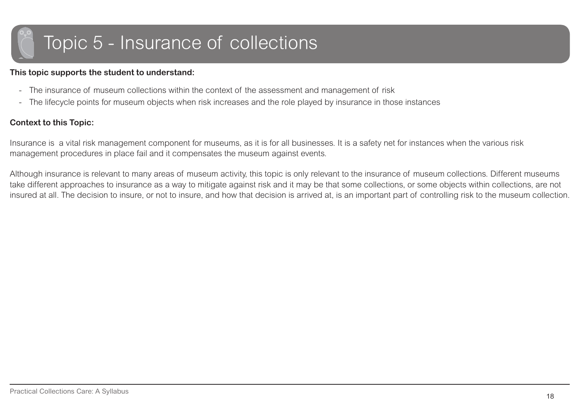## <span id="page-17-0"></span>Topic 5 - Insurance of collections

#### **This topic supports the student to understand:**

- The insurance of museum collections within the context of the assessment and management of risk
- -The lifecycle points for museum objects when risk increases and the role played by insurance in those instances

#### **Context to this Topic:**

Insurance is a vital risk management component for museums, as it is for all businesses. It is a safety net for instances when the various risk management procedures in place fail and it compensates the museum against events.

Although insurance is relevant to many areas of museum activity, this topic is only relevant to the insurance of museum collections. Different museums take different approaches to insurance as a way to mitigate against risk and it may be that some collections, or some objects within collections, are not insured at all. The decision to insure, or not to insure, and how that decision is arrived at, is an important part of controlling risk to the museum collection.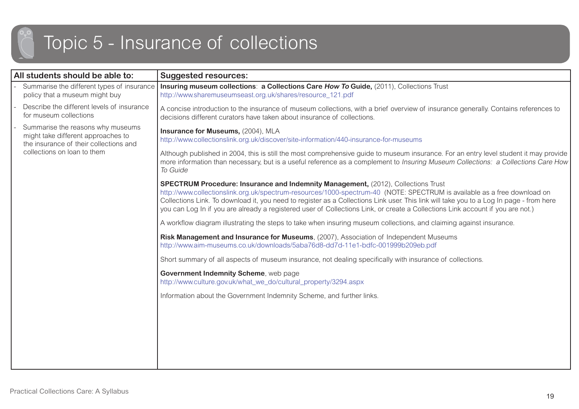## Topic 5 - Insurance of collections

| <b>Suggested resources:</b>                                                                                                                                                                                                                                                                                                                                                                                                                                                                       |
|---------------------------------------------------------------------------------------------------------------------------------------------------------------------------------------------------------------------------------------------------------------------------------------------------------------------------------------------------------------------------------------------------------------------------------------------------------------------------------------------------|
| Insuring museum collections: a Collections Care How To Guide, (2011), Collections Trust<br>http://www.sharemuseumseast.org.uk/shares/resource 121.pdf                                                                                                                                                                                                                                                                                                                                             |
| A concise introduction to the insurance of museum collections, with a brief overview of insurance generally. Contains references to<br>decisions different curators have taken about insurance of collections.                                                                                                                                                                                                                                                                                    |
| Insurance for Museums, (2004), MLA<br>http://www.collectionslink.org.uk/discover/site-information/440-insurance-for-museums                                                                                                                                                                                                                                                                                                                                                                       |
| Although published in 2004, this is still the most comprehensive guide to museum insurance. For an entry level student it may provide<br>more information than necessary, but is a useful reference as a complement to Insuring Museum Collections: a Collections Care How<br>To Guide                                                                                                                                                                                                            |
| <b>SPECTRUM Procedure: Insurance and Indemnity Management, (2012), Collections Trust</b><br>http://www.collectionslink.org.uk/spectrum-resources/1000-spectrum-40 (NOTE: SPECTRUM is available as a free download on<br>Collections Link. To download it, you need to register as a Collections Link user. This link will take you to a Log In page - from here<br>you can Log In if you are already a registered user of Collections Link, or create a Collections Link account if you are not.) |
| A workflow diagram illustrating the steps to take when insuring museum collections, and claiming against insurance.                                                                                                                                                                                                                                                                                                                                                                               |
| Risk Management and Insurance for Museums, (2007), Association of Independent Museums<br>http://www.aim-museums.co.uk/downloads/5aba76d8-dd7d-11e1-bdfc-001999b209eb.pdf                                                                                                                                                                                                                                                                                                                          |
| Short summary of all aspects of museum insurance, not dealing specifically with insurance of collections.                                                                                                                                                                                                                                                                                                                                                                                         |
| Government Indemnity Scheme, web page<br>http://www.culture.gov.uk/what_we_do/cultural_property/3294.aspx                                                                                                                                                                                                                                                                                                                                                                                         |
| Information about the Government Indemnity Scheme, and further links.                                                                                                                                                                                                                                                                                                                                                                                                                             |
|                                                                                                                                                                                                                                                                                                                                                                                                                                                                                                   |
|                                                                                                                                                                                                                                                                                                                                                                                                                                                                                                   |
|                                                                                                                                                                                                                                                                                                                                                                                                                                                                                                   |
|                                                                                                                                                                                                                                                                                                                                                                                                                                                                                                   |
|                                                                                                                                                                                                                                                                                                                                                                                                                                                                                                   |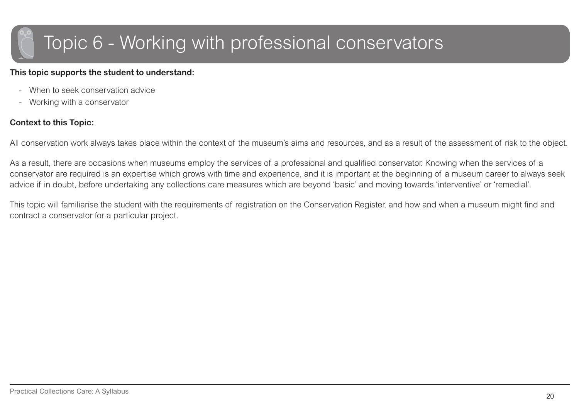### <span id="page-19-0"></span>Topic 6 - Working with professional conservators

#### **This topic supports the student to understand:**

- When to seek conservation advice
- -Working with a conservator

#### **Context to this Topic:**

All conservation work always takes place within the context of the museum's aims and resources, and as a result of the assessment of risk to the object.

As a result, there are occasions when museums employ the services of a professional and qualified conservator. Knowing when the services of a conservator are required is an expertise which grows with time and experience, and it is important at the beginning of a museum career to always seek advice if in doubt, before undertaking any collections care measures which are beyond 'basic' and moving towards 'interventive' or 'remedial'.

This topic will familiarise the student with the requirements of registration on the Conservation Register, and how and when a museum might find and contract a conservator for a particular project.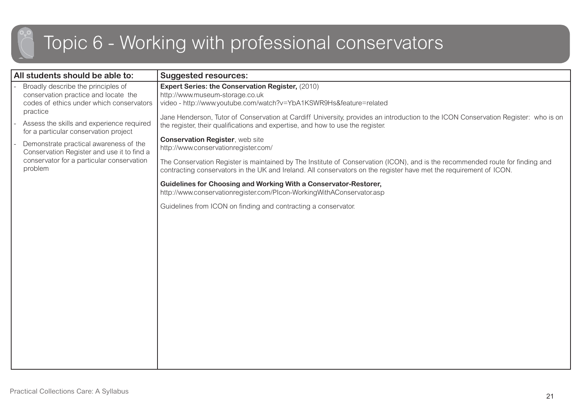### Topic 6 - Working with professional conservators

| All students should be able to:                                                                                                              | <b>Suggested resources:</b>                                                                                                                                                                                                                         |
|----------------------------------------------------------------------------------------------------------------------------------------------|-----------------------------------------------------------------------------------------------------------------------------------------------------------------------------------------------------------------------------------------------------|
| Broadly describe the principles of<br>conservation practice and locate the<br>codes of ethics under which conservators<br>practice           | Expert Series: the Conservation Register, (2010)<br>http://www.museum-storage.co.uk<br>video - http://www.youtube.com/watch?v=YbA1KSWR9Hs&feature=related                                                                                           |
| Assess the skills and experience required<br>for a particular conservation project                                                           | Jane Henderson, Tutor of Conservation at Cardiff University, provides an introduction to the ICON Conservation Register: who is on<br>the register, their qualifications and expertise, and how to use the register.                                |
| Demonstrate practical awareness of the<br>Conservation Register and use it to find a<br>conservator for a particular conservation<br>problem | <b>Conservation Register, web site</b><br>http://www.conservationregister.com/                                                                                                                                                                      |
|                                                                                                                                              | The Conservation Register is maintained by The Institute of Conservation (ICON), and is the recommended route for finding and<br>contracting conservators in the UK and Ireland. All conservators on the register have met the requirement of ICON. |
|                                                                                                                                              | Guidelines for Choosing and Working With a Conservator-Restorer,<br>http://www.conservationregister.com/Plcon-WorkingWithAConservator.asp                                                                                                           |
|                                                                                                                                              | Guidelines from ICON on finding and contracting a conservator.                                                                                                                                                                                      |
|                                                                                                                                              |                                                                                                                                                                                                                                                     |
|                                                                                                                                              |                                                                                                                                                                                                                                                     |
|                                                                                                                                              |                                                                                                                                                                                                                                                     |
|                                                                                                                                              |                                                                                                                                                                                                                                                     |
|                                                                                                                                              |                                                                                                                                                                                                                                                     |
|                                                                                                                                              |                                                                                                                                                                                                                                                     |
|                                                                                                                                              |                                                                                                                                                                                                                                                     |
|                                                                                                                                              |                                                                                                                                                                                                                                                     |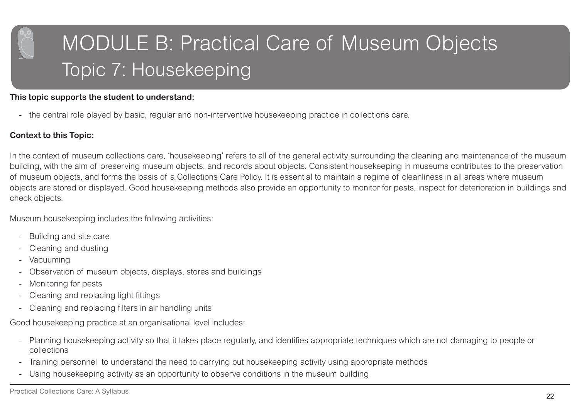# <span id="page-21-0"></span>MODULE B: Practical Care of Museum Objects Topic 7: Housekeeping

#### **This topic supports the student to understand:**

- the central role played by basic, regular and non-interventive housekeeping practice in collections care.

#### **Context to this Topic:**

In the context of museum collections care, 'housekeeping' refers to all of the general activity surrounding the cleaning and maintenance of the museum building, with the aim of preserving museum objects, and records about objects. Consistent housekeeping in museums contributes to the preservation of museum objects, and forms the basis of a Collections Care Policy. It is essential to maintain a regime of cleanliness in all areas where museum objects are stored or displayed. Good housekeeping methods also provide an opportunity to monitor for pests, inspect for deterioration in buildings and check objects.

Museum housekeeping includes the following activities:

- -Building and site care
- Cleaning and dusting
- Vacuuming
- Observation of museum objects, displays, stores and buildings
- Monitoring for pests
- -Cleaning and replacing light fittings
- -Cleaning and replacing filters in air handling units

Good housekeeping practice at an organisational level includes:

- - Planning housekeeping activity so that it takes place regularly, and identifies appropriate techniques which are not damaging to people or collections
- -Training personnel to understand the need to carrying out housekeeping activity using appropriate methods
- -Using housekeeping activity as an opportunity to observe conditions in the museum building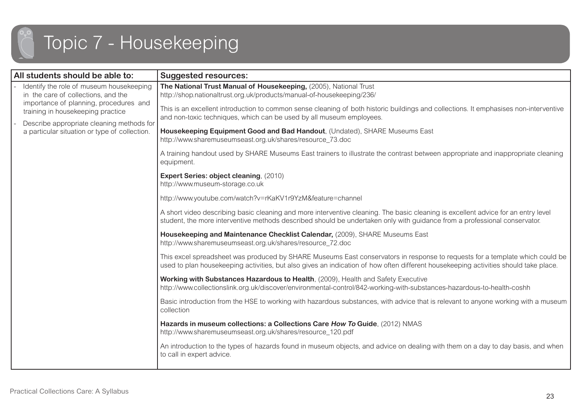

| All students should be able to:                                                                                                                                | <b>Suggested resources:</b>                                                                                                                                                                                                                                                                                                                                 |
|----------------------------------------------------------------------------------------------------------------------------------------------------------------|-------------------------------------------------------------------------------------------------------------------------------------------------------------------------------------------------------------------------------------------------------------------------------------------------------------------------------------------------------------|
| Identify the role of museum housekeeping<br>in the care of collections, and the<br>importance of planning, procedures and<br>training in housekeeping practice | The National Trust Manual of Housekeeping, (2005), National Trust<br>http://shop.nationaltrust.org.uk/products/manual-of-housekeeping/236/<br>This is an excellent introduction to common sense cleaning of both historic buildings and collections. It emphasises non-interventive<br>and non-toxic techniques, which can be used by all museum employees. |
| Describe appropriate cleaning methods for<br>a particular situation or type of collection.                                                                     | Housekeeping Equipment Good and Bad Handout, (Undated), SHARE Museums East<br>http://www.sharemuseumseast.org.uk/shares/resource_73.doc                                                                                                                                                                                                                     |
|                                                                                                                                                                | A training handout used by SHARE Museums East trainers to illustrate the contrast between appropriate and inappropriate cleaning<br>equipment.                                                                                                                                                                                                              |
|                                                                                                                                                                | Expert Series: object cleaning, (2010)<br>http://www.museum-storage.co.uk                                                                                                                                                                                                                                                                                   |
|                                                                                                                                                                | http://www.youtube.com/watch?v=rKaKV1r9YzM&feature=channel                                                                                                                                                                                                                                                                                                  |
|                                                                                                                                                                | A short video describing basic cleaning and more interventive cleaning. The basic cleaning is excellent advice for an entry level<br>student, the more interventive methods described should be undertaken only with guidance from a professional conservator.                                                                                              |
|                                                                                                                                                                | Housekeeping and Maintenance Checklist Calendar, (2009), SHARE Museums East<br>http://www.sharemuseumseast.org.uk/shares/resource_72.doc                                                                                                                                                                                                                    |
|                                                                                                                                                                | This excel spreadsheet was produced by SHARE Museums East conservators in response to requests for a template which could be<br>used to plan housekeeping activities, but also gives an indication of how often different housekeeping activities should take place.                                                                                        |
|                                                                                                                                                                | Working with Substances Hazardous to Health, (2009), Health and Safety Executive<br>http://www.collectionslink.org.uk/discover/environmental-control/842-working-with-substances-hazardous-to-health-coshh                                                                                                                                                  |
|                                                                                                                                                                | Basic introduction from the HSE to working with hazardous substances, with advice that is relevant to anyone working with a museum<br>collection                                                                                                                                                                                                            |
|                                                                                                                                                                | Hazards in museum collections: a Collections Care How To Guide, (2012) NMAS<br>http://www.sharemuseumseast.org.uk/shares/resource_120.pdf                                                                                                                                                                                                                   |
|                                                                                                                                                                | An introduction to the types of hazards found in museum objects, and advice on dealing with them on a day to day basis, and when<br>to call in expert advice.                                                                                                                                                                                               |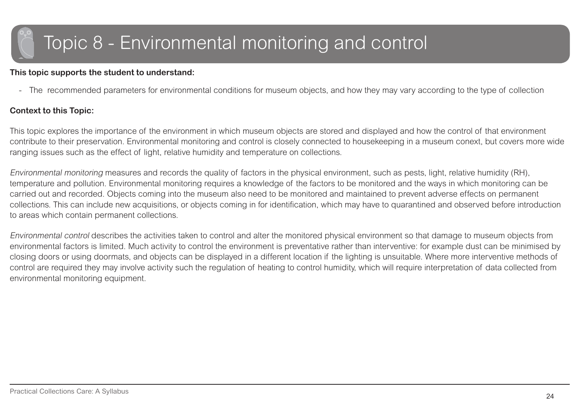### <span id="page-23-0"></span>Topic 8 - Environmental monitoring and control

#### **This topic supports the student to understand:**

- The recommended parameters for environmental conditions for museum objects, and how they may vary according to the type of collection

#### **Context to this Topic:**

This topic explores the importance of the environment in which museum objects are stored and displayed and how the control of that environment contribute to their preservation. Environmental monitoring and control is closely connected to housekeeping in a museum conext, but covers more wide ranging issues such as the effect of light, relative humidity and temperature on collections.

Environmental monitoring measures and records the quality of factors in the physical environment, such as pests, light, relative humidity (RH), temperature and pollution. Environmental monitoring requires a knowledge of the factors to be monitored and the ways in which monitoring can be carried out and recorded. Objects coming into the museum also need to be monitored and maintained to prevent adverse effects on permanent collections. This can include new acquisitions, or objects coming in for identification, which may have to quarantined and observed before introduction to areas which contain permanent collections.

Environmental control describes the activities taken to control and alter the monitored physical environment so that damage to museum objects from environmental factors is limited. Much activity to control the environment is preventative rather than interventive: for example dust can be minimised by closing doors or using doormats, and objects can be displayed in a different location if the lighting is unsuitable. Where more interventive methods of control are required they may involve activity such the regulation of heating to control humidity, which will require interpretation of data collected from environmental monitoring equipment.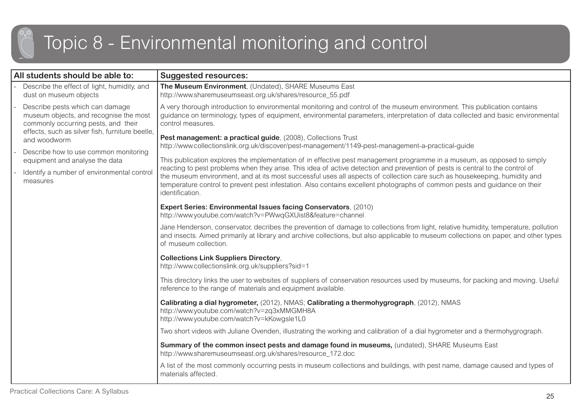### Topic 8 - Environmental monitoring and control

| All students should be able to:                                                                                                                                                     | <b>Suggested resources:</b>                                                                                                                                                                                                                                                                                                                                                                                 |
|-------------------------------------------------------------------------------------------------------------------------------------------------------------------------------------|-------------------------------------------------------------------------------------------------------------------------------------------------------------------------------------------------------------------------------------------------------------------------------------------------------------------------------------------------------------------------------------------------------------|
| Describe the effect of light, humidity, and<br>dust on museum objects                                                                                                               | The Museum Environment, (Undated), SHARE Museums East<br>http://www.sharemuseumseast.org.uk/shares/resource_55.pdf                                                                                                                                                                                                                                                                                          |
| Describe pests which can damage<br>museum objects, and recognise the most<br>commonly occurring pests, and their<br>effects, such as silver fish, furniture beetle,<br>and woodworm | A very thorough introduction to environmental monitoring and control of the museum environment. This publication contains<br>guidance on terminology, types of equipment, environmental parameters, interpretation of data collected and basic environmental<br>control measures.                                                                                                                           |
|                                                                                                                                                                                     | Pest management: a practical guide, (2008), Collections Trust<br>http://www.collectionslink.org.uk/discover/pest-management/1149-pest-management-a-practical-guide                                                                                                                                                                                                                                          |
| Describe how to use common monitoring<br>equipment and analyse the data                                                                                                             | This publication explores the implementation of in effective pest management programme in a museum, as opposed to simply                                                                                                                                                                                                                                                                                    |
| Identify a number of environmental control<br>measures                                                                                                                              | reacting to pest problems when they arise. This idea of active detection and prevention of pests is central to the control of<br>the museum environment, and at its most successful uses all aspects of collection care such as housekeeping, humidity and<br>temperature control to prevent pest infestation. Also contains excellent photographs of common pests and guidance on their<br>identification. |
|                                                                                                                                                                                     | Expert Series: Environmental Issues facing Conservators, (2010)<br>http://www.youtube.com/watch?v=PWwqGXUist8&feature=channel                                                                                                                                                                                                                                                                               |
|                                                                                                                                                                                     | Jane Henderson, conservator, decribes the prevention of damage to collections from light, relative humidity, temperature, pollution<br>and insects. Aimed primarily at library and archive collections, but also applicable to museum collections on paper, and other types<br>of museum collection.                                                                                                        |
|                                                                                                                                                                                     | <b>Collections Link Suppliers Directory,</b><br>http://www.collectionslink.org.uk/suppliers?sid=1                                                                                                                                                                                                                                                                                                           |
|                                                                                                                                                                                     | This directory links the user to websites of suppliers of conservation resources used by museums, for packing and moving. Useful<br>reference to the range of materials and equipment available.                                                                                                                                                                                                            |
|                                                                                                                                                                                     | Calibrating a dial hygrometer, (2012), NMAS; Calibrating a thermohygrograph, (2012), NMAS<br>http://www.youtube.com/watch?v=zq3xMMGMH8A<br>http://www.youtube.com/watch?v=kKowgsle1L0                                                                                                                                                                                                                       |
|                                                                                                                                                                                     | Two short videos with Juliane Ovenden, illustrating the working and calibration of a dial hygrometer and a thermohygrograph.                                                                                                                                                                                                                                                                                |
|                                                                                                                                                                                     | Summary of the common insect pests and damage found in museums, (undated), SHARE Museums East<br>http://www.sharemuseumseast.org.uk/shares/resource_172.doc                                                                                                                                                                                                                                                 |
|                                                                                                                                                                                     | A list of the most commonly occurring pests in museum collections and buildings, with pest name, damage caused and types of<br>materials affected.                                                                                                                                                                                                                                                          |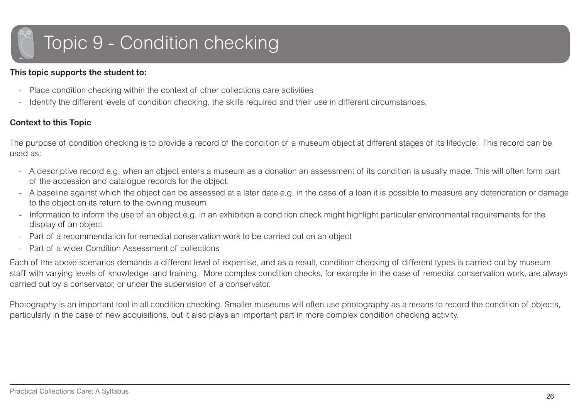# <span id="page-25-0"></span>Topic 9 - Condition checking

#### **This topic supports the student to:**

- -Place condition checking within the context of other collections care activities
- -Identify the different levels of condition checking, the skills required and their use in different circumstances,

#### **Context to this Topic**

The purpose of condition checking is to provide a record of the condition of a museum object at different stages of its lifecycle. This record can be used as:

- A descriptive record e.g. when an object enters a museum as a donation an assessment of its condition is usually made. This will often form part of the accession and catalogue records for the object.
- A baseline against which the object can be assessed at a later date e.g. in the case of a loan it is possible to measure any deterioration or damage to the object on its return to the owning museum
- - Information to inform the use of an object e.g. in an exhibition a condition check might highlight particular environmental requirements for the display of an object
- -Part of a recommendation for remedial conservation work to be carried out on an object
- -Part of a wider Condition Assessment of collections

Each of the above scenarios demands a different level of expertise, and as a result, condition checking of different types is carried out by museum staff with varying levels of knowledge and training. More complex condition checks, for example in the case of remedial conservation work, are always carried out by a conservator, or under the supervision of a conservator.

Photography is an important tool in all condition checking. Smaller museums will often use photography as a means to record the condition of objects, particularly in the case of new acquisitions, but it also plays an important part in more complex condition checking activity.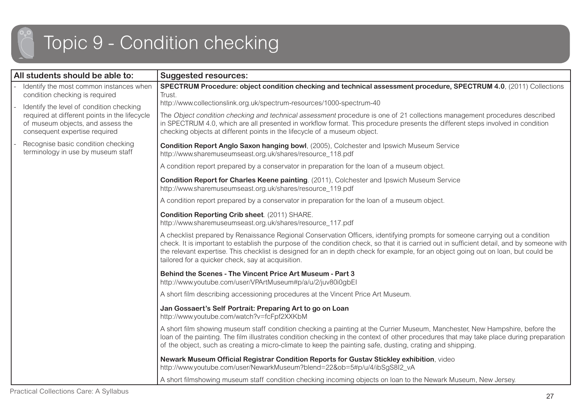### Topic 9 - Condition checking

| All students should be able to:                                                                                     | <b>Suggested resources:</b>                                                                                                                                                                                                                                                                                                                                                                                                                                             |
|---------------------------------------------------------------------------------------------------------------------|-------------------------------------------------------------------------------------------------------------------------------------------------------------------------------------------------------------------------------------------------------------------------------------------------------------------------------------------------------------------------------------------------------------------------------------------------------------------------|
| Identify the most common instances when<br>condition checking is required                                           | SPECTRUM Procedure: object condition checking and technical assessment procedure, SPECTRUM 4.0, (2011) Collections<br>Trust.                                                                                                                                                                                                                                                                                                                                            |
| Identify the level of condition checking                                                                            | http://www.collectionslink.org.uk/spectrum-resources/1000-spectrum-40                                                                                                                                                                                                                                                                                                                                                                                                   |
| required at different points in the lifecycle<br>of museum objects, and assess the<br>consequent expertise required | The Object condition checking and technical assessment procedure is one of 21 collections management procedures described<br>in SPECTRUM 4.0, which are all presented in workflow format. This procedure presents the different steps involved in condition<br>checking objects at different points in the lifecycle of a museum object.                                                                                                                                |
| Recognise basic condition checking<br>terminology in use by museum staff                                            | Condition Report Anglo Saxon hanging bowl, (2005), Colchester and Ipswich Museum Service<br>http://www.sharemuseumseast.org.uk/shares/resource_118.pdf                                                                                                                                                                                                                                                                                                                  |
|                                                                                                                     | A condition report prepared by a conservator in preparation for the loan of a museum object.                                                                                                                                                                                                                                                                                                                                                                            |
|                                                                                                                     | Condition Report for Charles Keene painting. (2011), Colchester and Ipswich Museum Service<br>http://www.sharemuseumseast.org.uk/shares/resource 119.pdf                                                                                                                                                                                                                                                                                                                |
|                                                                                                                     | A condition report prepared by a conservator in preparation for the loan of a museum object.                                                                                                                                                                                                                                                                                                                                                                            |
|                                                                                                                     | Condition Reporting Crib sheet. (2011) SHARE.<br>http://www.sharemuseumseast.org.uk/shares/resource_117.pdf                                                                                                                                                                                                                                                                                                                                                             |
|                                                                                                                     | A checklist prepared by Renaissance Regional Conservation Officers, identifying prompts for someone carrying out a condition<br>check. It is important to establish the purpose of the condition check, so that it is carried out in sufficient detail, and by someone with<br>the relevant expertise. This checklist is designed for an in depth check for example, for an object going out on loan, but could be<br>tailored for a quicker check, say at acquisition. |
|                                                                                                                     | <b>Behind the Scenes - The Vincent Price Art Museum - Part 3</b><br>http://www.youtube.com/user/VPArtMuseum#p/a/u/2/juv80i0gbEl                                                                                                                                                                                                                                                                                                                                         |
|                                                                                                                     | A short film describing accessioning procedures at the Vincent Price Art Museum.                                                                                                                                                                                                                                                                                                                                                                                        |
|                                                                                                                     | Jan Gossaert's Self Portrait: Preparing Art to go on Loan<br>http://www.youtube.com/watch?v=fcFpf2XXKbM                                                                                                                                                                                                                                                                                                                                                                 |
|                                                                                                                     | A short film showing museum staff condition checking a painting at the Currier Museum, Manchester, New Hampshire, before the<br>loan of the painting. The film illustrates condition checking in the context of other procedures that may take place during preparation<br>of the object, such as creating a micro-climate to keep the painting safe, dusting, crating and shipping.                                                                                    |
|                                                                                                                     | Newark Museum Official Registrar Condition Reports for Gustav Stickley exhibition, video<br>http://www.youtube.com/user/NewarkMuseum?blend=22&ob=5#p/u/4/ibSqS8l2 vA                                                                                                                                                                                                                                                                                                    |
|                                                                                                                     | A short filmshowing museum staff condition checking incoming objects on loan to the Newark Museum, New Jersey.                                                                                                                                                                                                                                                                                                                                                          |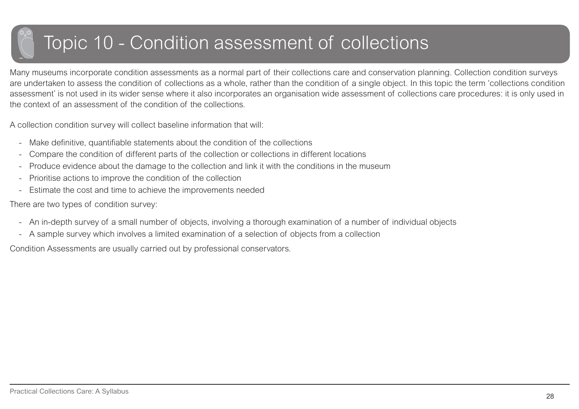### <span id="page-27-0"></span>Topic 10 - Condition assessment of collections

Many museums incorporate condition assessments as a normal part of their collections care and conservation planning. Collection condition surveys are undertaken to assess the condition of collections as a whole, rather than the condition of a single object. In this topic the term 'collections condition assessment' is not used in its wider sense where it also incorporates an organisation wide assessment of collections care procedures: it is only used in the context of an assessment of the condition of the collections.

A collection condition survey will collect baseline information that will:

- -Make definitive, quantifiable statements about the condition of the collections
- -Compare the condition of different parts of the collection or collections in different locations
- -Produce evidence about the damage to the collection and link it with the conditions in the museum
- Prioritise actions to improve the condition of the collection
- -Estimate the cost and time to achieve the improvements needed

There are two types of condition survey:

- An in-depth survey of a small number of objects, involving a thorough examination of a number of individual objects
- -A sample survey which involves a limited examination of a selection of objects from a collection

Condition Assessments are usually carried out by professional conservators.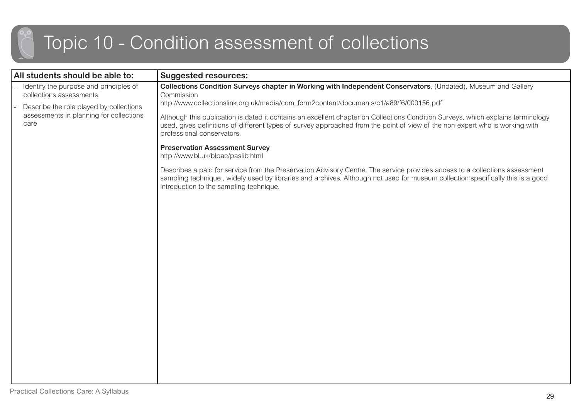### Topic 10 - Condition assessment of collections

| All students should be able to:                                                                              | <b>Suggested resources:</b>                                                                                                                                                                                                                                                                              |
|--------------------------------------------------------------------------------------------------------------|----------------------------------------------------------------------------------------------------------------------------------------------------------------------------------------------------------------------------------------------------------------------------------------------------------|
| Identify the purpose and principles of<br>collections assessments<br>Describe the role played by collections | Collections Condition Surveys chapter in Working with Independent Conservators, (Undated), Museum and Gallery<br>Commission<br>http://www.collectionslink.org.uk/media/com_form2content/documents/c1/a89/f6/000156.pdf                                                                                   |
| assessments in planning for collections<br>care                                                              | Although this publication is dated it contains an excellent chapter on Collections Condition Surveys, which explains terminology<br>used, gives definitions of different types of survey approached from the point of view of the non-expert who is working with<br>professional conservators.           |
|                                                                                                              | <b>Preservation Assessment Survey</b><br>http://www.bl.uk/blpac/paslib.html                                                                                                                                                                                                                              |
|                                                                                                              | Describes a paid for service from the Preservation Advisory Centre. The service provides access to a collections assessment<br>sampling technique, widely used by libraries and archives. Although not used for museum collection specifically this is a good<br>introduction to the sampling technique. |
|                                                                                                              |                                                                                                                                                                                                                                                                                                          |
|                                                                                                              |                                                                                                                                                                                                                                                                                                          |
|                                                                                                              |                                                                                                                                                                                                                                                                                                          |
|                                                                                                              |                                                                                                                                                                                                                                                                                                          |
|                                                                                                              |                                                                                                                                                                                                                                                                                                          |
|                                                                                                              |                                                                                                                                                                                                                                                                                                          |
|                                                                                                              |                                                                                                                                                                                                                                                                                                          |
|                                                                                                              |                                                                                                                                                                                                                                                                                                          |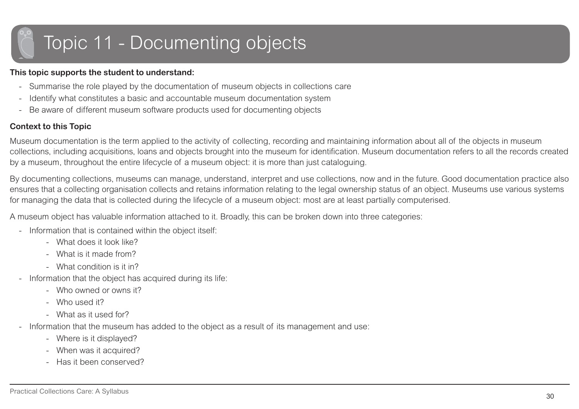# <span id="page-29-0"></span>Topic 11 - Documenting objects

#### **This topic supports the student to understand:**

- -Summarise the role played by the documentation of museum objects in collections care
- -Identify what constitutes a basic and accountable museum documentation system
- Be aware of different museum software products used for documenting objects

#### **Context to this Topic**

Museum documentation is the term applied to the activity of collecting, recording and maintaining information about all of the objects in museum collections, including acquisitions, loans and objects brought into the museum for identification. Museum documentation refers to all the records created by a museum, throughout the entire lifecycle of a museum object: it is more than just cataloguing.

By documenting collections, museums can manage, understand, interpret and use collections, now and in the future. Good documentation practice also ensures that a collecting organisation collects and retains information relating to the legal ownership status of an object. Museums use various systems for managing the data that is collected during the lifecycle of a museum object: most are at least partially computerised.

A museum object has valuable information attached to it. Broadly, this can be broken down into three categories:

- - Information that is contained within the object itself:
	- What does it look like?
	- What is it made from?
	- What condition is it in?
- Information that the object has acquired during its life:
	- Who owned or owns it?
	- Who used it?
	- What as it used for?
- - Information that the museum has added to the object as a result of its management and use:
	- Where is it displayed?
	- When was it acquired?
	- Has it been conserved?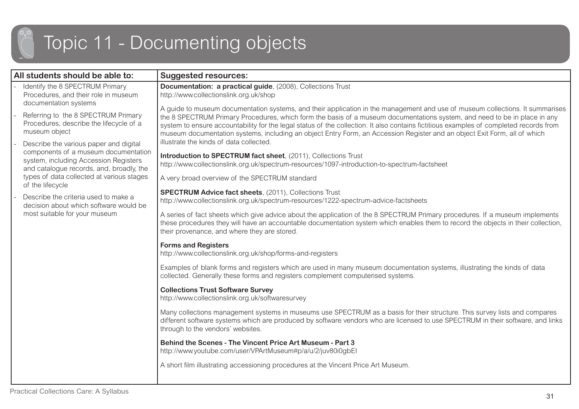### Topic 11 - Documenting objects

| All students should be able to:                                                                                           | <b>Suggested resources:</b>                                                                                                                                                                                                                                                                                                                                                                                                                                                                                                       |
|---------------------------------------------------------------------------------------------------------------------------|-----------------------------------------------------------------------------------------------------------------------------------------------------------------------------------------------------------------------------------------------------------------------------------------------------------------------------------------------------------------------------------------------------------------------------------------------------------------------------------------------------------------------------------|
| Identify the 8 SPECTRUM Primary<br>Procedures, and their role in museum<br>documentation systems                          | <b>Documentation: a practical guide, (2008), Collections Trust</b><br>http://www.collectionslink.org.uk/shop                                                                                                                                                                                                                                                                                                                                                                                                                      |
| Referring to the 8 SPECTRUM Primary<br>Procedures, describe the lifecycle of a<br>museum object                           | A guide to museum documentation systems, and their application in the management and use of museum collections. It summarises<br>the 8 SPECTRUM Primary Procedures, which form the basis of a museum documentations system, and need to be in place in any<br>system to ensure accountability for the legal status of the collection. It also contains fictitious examples of completed records from<br>museum documentation systems, including an object Entry Form, an Accession Register and an object Exit Form, all of which |
| Describe the various paper and digital                                                                                    | illustrate the kinds of data collected.                                                                                                                                                                                                                                                                                                                                                                                                                                                                                           |
| components of a museum documentation<br>system, including Accession Registers<br>and catalogue records, and, broadly, the | Introduction to SPECTRUM fact sheet, (2011), Collections Trust<br>http://www.collectionslink.org.uk/spectrum-resources/1097-introduction-to-spectrum-factsheet                                                                                                                                                                                                                                                                                                                                                                    |
| types of data collected at various stages<br>of the lifecycle                                                             | A very broad overview of the SPECTRUM standard                                                                                                                                                                                                                                                                                                                                                                                                                                                                                    |
| Describe the criteria used to make a<br>decision about which software would be                                            | <b>SPECTRUM Advice fact sheets, (2011), Collections Trust</b><br>http://www.collectionslink.org.uk/spectrum-resources/1222-spectrum-advice-factsheets                                                                                                                                                                                                                                                                                                                                                                             |
| most suitable for your museum                                                                                             | A series of fact sheets which give advice about the application of the 8 SPECTRUM Primary procedures. If a museum implements<br>these procedures they will have an accountable documentation system which enables them to record the objects in their collection,<br>their provenance, and where they are stored.                                                                                                                                                                                                                 |
|                                                                                                                           | <b>Forms and Registers</b><br>http://www.collectionslink.org.uk/shop/forms-and-registers                                                                                                                                                                                                                                                                                                                                                                                                                                          |
|                                                                                                                           | Examples of blank forms and registers which are used in many museum documentation systems, illustrating the kinds of data<br>collected. Generally these forms and registers complement computerised systems.                                                                                                                                                                                                                                                                                                                      |
|                                                                                                                           | <b>Collections Trust Software Survey</b><br>http://www.collectionslink.org.uk/softwaresurvey                                                                                                                                                                                                                                                                                                                                                                                                                                      |
|                                                                                                                           | Many collections management systems in museums use SPECTRUM as a basis for their structure. This survey lists and compares<br>different software systems which are produced by software vendors who are licensed to use SPECTRUM in their software, and links<br>through to the vendors' websites.                                                                                                                                                                                                                                |
|                                                                                                                           | <b>Behind the Scenes - The Vincent Price Art Museum - Part 3</b><br>http://www.youtube.com/user/VPArtMuseum#p/a/u/2/juv80i0gbEl                                                                                                                                                                                                                                                                                                                                                                                                   |
|                                                                                                                           | A short film illustrating accessioning procedures at the Vincent Price Art Museum.                                                                                                                                                                                                                                                                                                                                                                                                                                                |
|                                                                                                                           |                                                                                                                                                                                                                                                                                                                                                                                                                                                                                                                                   |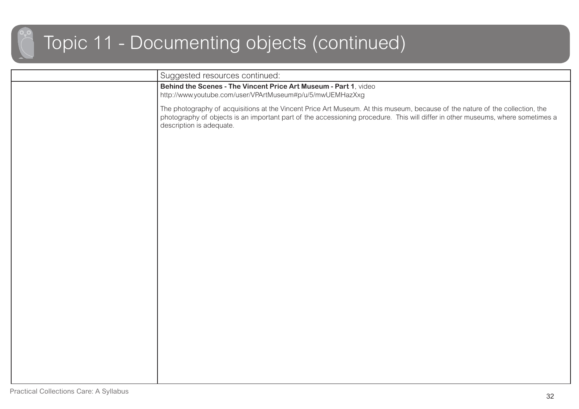### Topic 11 - Documenting objects (continued)

| Suggested resources continued:                                                                                                                                                                                                                                                               |
|----------------------------------------------------------------------------------------------------------------------------------------------------------------------------------------------------------------------------------------------------------------------------------------------|
| Behind the Scenes - The Vincent Price Art Museum - Part 1, video<br>http://www.youtube.com/user/VPArtMuseum#p/u/5/mwUEMHazXxg                                                                                                                                                                |
| The photography of acquisitions at the Vincent Price Art Museum. At this museum, because of the nature of the collection, the<br>photography of objects is an important part of the accessioning procedure. This will differ in other museums, where sometimes a<br>description is adequate. |
|                                                                                                                                                                                                                                                                                              |
|                                                                                                                                                                                                                                                                                              |
|                                                                                                                                                                                                                                                                                              |
|                                                                                                                                                                                                                                                                                              |
|                                                                                                                                                                                                                                                                                              |
|                                                                                                                                                                                                                                                                                              |
|                                                                                                                                                                                                                                                                                              |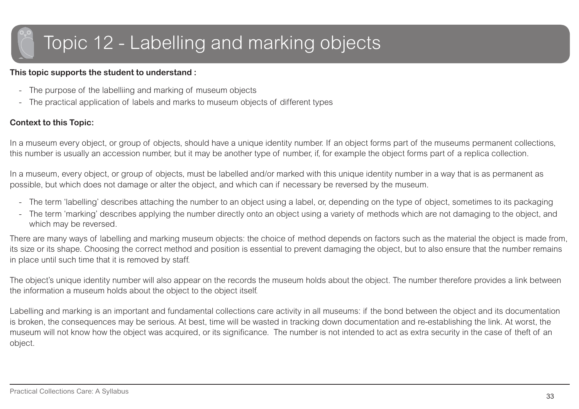### <span id="page-32-0"></span>Topic 12 - Labelling and marking objects

#### **This topic supports the student to understand :**

- The purpose of the labelliing and marking of museum objects
- -The practical application of labels and marks to museum objects of different types

#### **Context to this Topic:**

In a museum every object, or group of objects, should have a unique identity number. If an object forms part of the museums permanent collections, this number is usually an accession number, but it may be another type of number, if, for example the object forms part of a replica collection.

In a museum, every object, or group of objects, must be labelled and/or marked with this unique identity number in a way that is as permanent as possible, but which does not damage or alter the object, and which can if necessary be reversed by the museum.

- -The term 'labelling' describes attaching the number to an object using a label, or, depending on the type of object, sometimes to its packaging
- - The term 'marking' describes applying the number directly onto an object using a variety of methods which are not damaging to the object, and which may be reversed.

There are many ways of labelling and marking museum objects: the choice of method depends on factors such as the material the object is made from, its size or its shape. Choosing the correct method and position is essential to prevent damaging the object, but to also ensure that the number remains in place until such time that it is removed by staff.

The object's unique identity number will also appear on the records the museum holds about the object. The number therefore provides a link between the information a museum holds about the object to the object itself.

Labelling and marking is an important and fundamental collections care activity in all museums: if the bond between the object and its documentation is broken, the consequences may be serious. At best, time will be wasted in tracking down documentation and re-establishing the link. At worst, the museum will not know how the object was acquired, or its significance. The number is not intended to act as extra security in the case of theft of an object.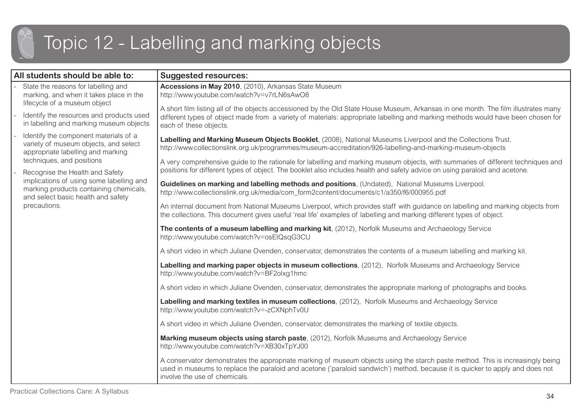## Topic 12 - Labelling and marking objects

| All students should be able to:                                                                                                                                                                                                                                                                                                 | <b>Suggested resources:</b>                                                                                                                                                                                                                                                                       |
|---------------------------------------------------------------------------------------------------------------------------------------------------------------------------------------------------------------------------------------------------------------------------------------------------------------------------------|---------------------------------------------------------------------------------------------------------------------------------------------------------------------------------------------------------------------------------------------------------------------------------------------------|
| State the reasons for labelling and<br>marking, and when it takes place in the<br>lifecycle of a museum object<br>Identify the resources and products used<br>in labelling and marking museum objects                                                                                                                           | Accessions in May 2010, (2010), Arkansas State Museum<br>http://www.youtube.com/watch?v=v7rLN6sAwO8                                                                                                                                                                                               |
|                                                                                                                                                                                                                                                                                                                                 | A short film listing all of the objects accessioned by the Old State House Museum, Arkansas in one month. The film illustrates many<br>different types of object made from a variety of materials: appropriate labelling and marking methods would have been chosen for<br>each of these objects. |
| Identify the component materials of a<br>variety of museum objects, and select<br>appropriate labelling and marking<br>techniques, and positions<br>Recognise the Health and Safety<br>implications of using some labelling and<br>marking products containing chemicals,<br>and select basic health and safety<br>precautions. | Labelling and Marking Museum Objects Booklet, (2008), National Museums Liverpool and the Collections Trust.<br>http://www.collectionslink.org.uk/programmes/museum-accreditation/926-labelling-and-marking-museum-objects                                                                         |
|                                                                                                                                                                                                                                                                                                                                 | A very comprehensive guide to the rationale for labelling and marking museum objects, with summaries of different techniques and<br>positions for different types of object. The booklet also includes health and safety advice on using paraloid and acetone.                                    |
|                                                                                                                                                                                                                                                                                                                                 | Guidelines on marking and labelling methods and positions, (Undated), National Museums Liverpool.<br>http://www.collectionslink.org.uk/media/com_form2content/documents/c1/a350/f6/000955.pdf                                                                                                     |
|                                                                                                                                                                                                                                                                                                                                 | An internal document from National Museums Liverpool, which provides staff with guidance on labelling and marking objects from<br>the collections. This document gives useful 'real life' examples of labelling and marking different types of object.                                            |
|                                                                                                                                                                                                                                                                                                                                 | The contents of a museum labelling and marking kit, (2012), Norfolk Museums and Archaeology Service<br>http://www.youtube.com/watch?v=osEIQsqG3CU                                                                                                                                                 |
|                                                                                                                                                                                                                                                                                                                                 | A short video in which Juliane Ovenden, conservator, demonstrates the contents of a museum labelling and marking kit.                                                                                                                                                                             |
|                                                                                                                                                                                                                                                                                                                                 | Labelling and marking paper objects in museum collections, (2012), Norfolk Museums and Archaeology Service<br>http://www.youtube.com/watch?v=BF2olxg1hmc                                                                                                                                          |
|                                                                                                                                                                                                                                                                                                                                 | A short video in which Juliane Ovenden, conservator, demonstrates the appropriate marking of photographs and books.                                                                                                                                                                               |
|                                                                                                                                                                                                                                                                                                                                 | Labelling and marking textiles in museum collections, (2012), Norfolk Museums and Archaeology Service<br>http://www.youtube.com/watch?v=-zCXNphTv0U                                                                                                                                               |
|                                                                                                                                                                                                                                                                                                                                 | A short video in which Juliane Ovenden, conservator, demonstrates the marking of textile objects.                                                                                                                                                                                                 |
|                                                                                                                                                                                                                                                                                                                                 | Marking museum objects using starch paste, (2012), Norfolk Museums and Archaeology Service<br>http://www.youtube.com/watch?v=XB30xTpYJ00                                                                                                                                                          |
|                                                                                                                                                                                                                                                                                                                                 | A conservator demonstrates the appropriate marking of museum objects using the starch paste method. This is increasingly being<br>used in museums to replace the paraloid and acetone ('paraloid sandwich') method, because it is quicker to apply and does not<br>involve the use of chemicals.  |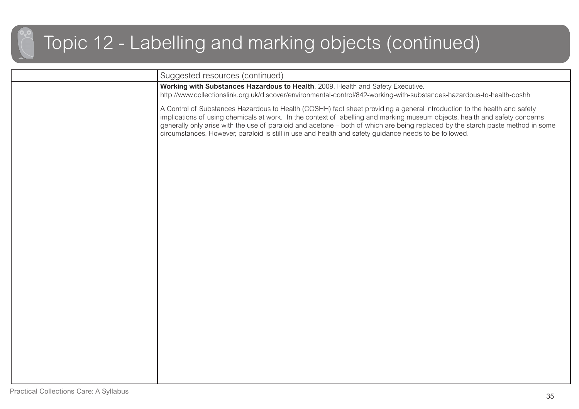### Topic 12 - Labelling and marking objects (continued)

| Suggested resources (continued)<br>Working with Substances Hazardous to Health. 2009. Health and Safety Executive.<br>http://www.collectionslink.org.uk/discover/environmental-control/842-working-with-substances-hazardous-to-health-coshh<br>A Control of Substances Hazardous to Health (COSHH) fact sheet providing a general introduction to the health and safety<br>implications of using chemicals at work. In the context of labelling and marking museum objects, health and safety concerns<br>generally only arise with the use of paraloid and acetone - both of which are being replaced by the starch paste method in some<br>circumstances. However, paraloid is still in use and health and safety guidance needs to be followed. |
|-----------------------------------------------------------------------------------------------------------------------------------------------------------------------------------------------------------------------------------------------------------------------------------------------------------------------------------------------------------------------------------------------------------------------------------------------------------------------------------------------------------------------------------------------------------------------------------------------------------------------------------------------------------------------------------------------------------------------------------------------------|
|                                                                                                                                                                                                                                                                                                                                                                                                                                                                                                                                                                                                                                                                                                                                                     |
|                                                                                                                                                                                                                                                                                                                                                                                                                                                                                                                                                                                                                                                                                                                                                     |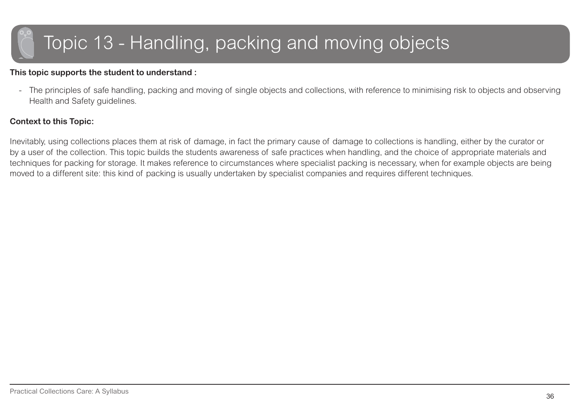### <span id="page-35-0"></span>Topic 13 - Handling, packing and moving objects

#### **This topic supports the student to understand :**

- The principles of safe handling, packing and moving of single objects and collections, with reference to minimising risk to objects and observing Health and Safety guidelines.

#### **Context to this Topic:**

Inevitably, using collections places them at risk of damage, in fact the primary cause of damage to collections is handling, either by the curator or by a user of the collection. This topic builds the students awareness of safe practices when handling, and the choice of appropriate materials and techniques for packing for storage. It makes reference to circumstances where specialist packing is necessary, when for example objects are being moved to a different site: this kind of packing is usually undertaken by specialist companies and requires different techniques.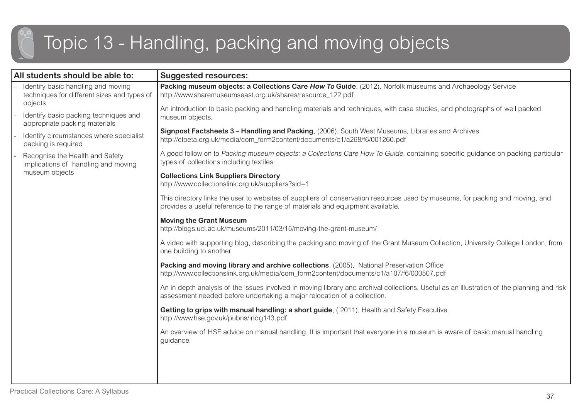### Topic 13 - Handling, packing and moving objects

| All students should be able to:                                                              | <b>Suggested resources:</b>                                                                                                                                                                                            |
|----------------------------------------------------------------------------------------------|------------------------------------------------------------------------------------------------------------------------------------------------------------------------------------------------------------------------|
| Identify basic handling and moving<br>techniques for different sizes and types of<br>objects | Packing museum objects: a Collections Care How To Guide, (2012), Norfolk museums and Archaeology Service<br>http://www.sharemuseumseast.org.uk/shares/resource_122.pdf                                                 |
| Identify basic packing techniques and<br>appropriate packing materials                       | An introduction to basic packing and handling materials and techniques, with case studies, and photographs of well packed<br>museum objects.                                                                           |
| Identify circumstances where specialist<br>packing is required                               | Signpost Factsheets 3 - Handling and Packing, (2006), South West Museums, Libraries and Archives<br>http://clbeta.org.uk/media/com_form2content/documents/c1/a268/f6/001260.pdf                                        |
| Recognise the Health and Safety<br>implications of handling and moving<br>museum objects     | A good follow on to Packing museum objects: a Collections Care How To Guide, containing specific guidance on packing particular<br>types of collections including textiles                                             |
|                                                                                              | <b>Collections Link Suppliers Directory</b><br>http://www.collectionslink.org.uk/suppliers?sid=1                                                                                                                       |
|                                                                                              | This directory links the user to websites of suppliers of conservation resources used by museums, for packing and moving, and<br>provides a useful reference to the range of materials and equipment available.        |
|                                                                                              | <b>Moving the Grant Museum</b><br>http://blogs.ucl.ac.uk/museums/2011/03/15/moving-the-grant-museum/                                                                                                                   |
|                                                                                              | A video with supporting blog, describing the packing and moving of the Grant Museum Collection, University College London, from<br>one building to another.                                                            |
|                                                                                              | Packing and moving library and archive collections, (2005), National Preservation Office<br>http://www.collectionslink.org.uk/media/com_form2content/documents/c1/a107/f6/000507.pdf                                   |
|                                                                                              | An in depth analysis of the issues involved in moving library and archival collections. Useful as an illustration of the planning and risk<br>assessment needed before undertaking a major relocation of a collection. |
|                                                                                              | Getting to grips with manual handling: a short guide, (2011), Health and Safety Executive.<br>http://www.hse.gov.uk/pubns/indg143.pdf                                                                                  |
|                                                                                              | An overview of HSE advice on manual handling. It is important that everyone in a museum is aware of basic manual handling<br>guidance.                                                                                 |
|                                                                                              |                                                                                                                                                                                                                        |
|                                                                                              |                                                                                                                                                                                                                        |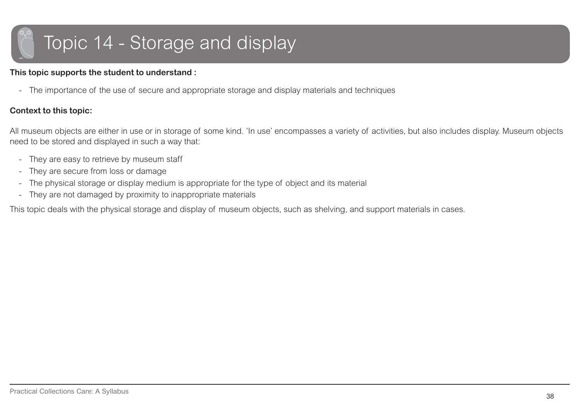# <span id="page-37-0"></span>Topic 14 - Storage and display

#### **This topic supports the student to understand :**

- The importance of the use of secure and appropriate storage and display materials and techniques

#### **Context to this topic:**

All museum objects are either in use or in storage of some kind. 'In use' encompasses a variety of activities, but also includes display. Museum objects need to be stored and displayed in such a way that:

- -They are easy to retrieve by museum staff
- -They are secure from loss or damage
- -The physical storage or display medium is appropriate for the type of object and its material
- -They are not damaged by proximity to inappropriate materials

This topic deals with the physical storage and display of museum objects, such as shelving, and support materials in cases.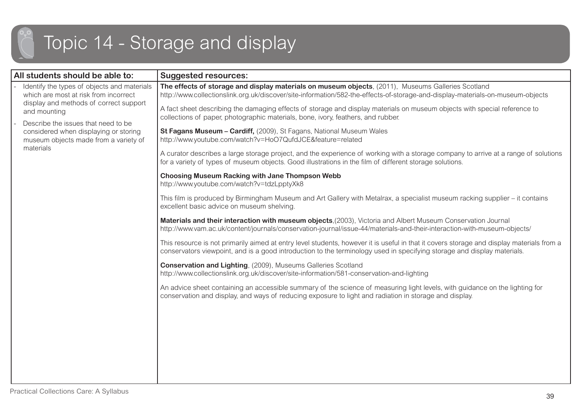## Topic 14 - Storage and display

| All students should be able to:                                                                                                                                                                                                                                                      | <b>Suggested resources:</b>                                                                                                                                                                                                                                          |
|--------------------------------------------------------------------------------------------------------------------------------------------------------------------------------------------------------------------------------------------------------------------------------------|----------------------------------------------------------------------------------------------------------------------------------------------------------------------------------------------------------------------------------------------------------------------|
| Identify the types of objects and materials<br>which are most at risk from incorrect<br>display and methods of correct support<br>and mounting<br>Describe the issues that need to be<br>considered when displaying or storing<br>museum objects made from a variety of<br>materials | The effects of storage and display materials on museum objects, (2011), Museums Galleries Scotland<br>http://www.collectionslink.org.uk/discover/site-information/582-the-effects-of-storage-and-display-materials-on-museum-objects                                 |
|                                                                                                                                                                                                                                                                                      | A fact sheet describing the damaging effects of storage and display materials on museum objects with special reference to<br>collections of paper, photographic materials, bone, ivory, feathers, and rubber.                                                        |
|                                                                                                                                                                                                                                                                                      | St Fagans Museum - Cardiff, (2009), St Fagans, National Museum Wales<br>http://www.youtube.com/watch?v=HoO7QufdJCE&feature=related                                                                                                                                   |
|                                                                                                                                                                                                                                                                                      | A curator describes a large storage project, and the experience of working with a storage company to arrive at a range of solutions<br>for a variety of types of museum objects. Good illustrations in the film of different storage solutions.                      |
|                                                                                                                                                                                                                                                                                      | <b>Choosing Museum Racking with Jane Thompson Webb</b><br>http://www.youtube.com/watch?v=tdzLpptyXk8                                                                                                                                                                 |
|                                                                                                                                                                                                                                                                                      | This film is produced by Birmingham Museum and Art Gallery with Metalrax, a specialist museum racking supplier - it contains<br>excellent basic advice on museum shelving.                                                                                           |
|                                                                                                                                                                                                                                                                                      | Materials and their interaction with museum objects, (2003), Victoria and Albert Museum Conservation Journal<br>http://www.vam.ac.uk/content/journals/conservation-journal/issue-44/materials-and-their-interaction-with-museum-objects/                             |
|                                                                                                                                                                                                                                                                                      | This resource is not primarily aimed at entry level students, however it is useful in that it covers storage and display materials from a<br>conservators viewpoint, and is a good introduction to the terminology used in specifying storage and display materials. |
|                                                                                                                                                                                                                                                                                      | <b>Conservation and Lighting, (2009), Museums Galleries Scotland</b><br>http://www.collectionslink.org.uk/discover/site-information/581-conservation-and-lighting                                                                                                    |
|                                                                                                                                                                                                                                                                                      | An advice sheet containing an accessible summary of the science of measuring light levels, with guidance on the lighting for<br>conservation and display, and ways of reducing exposure to light and radiation in storage and display.                               |
|                                                                                                                                                                                                                                                                                      |                                                                                                                                                                                                                                                                      |
|                                                                                                                                                                                                                                                                                      |                                                                                                                                                                                                                                                                      |
|                                                                                                                                                                                                                                                                                      |                                                                                                                                                                                                                                                                      |
|                                                                                                                                                                                                                                                                                      |                                                                                                                                                                                                                                                                      |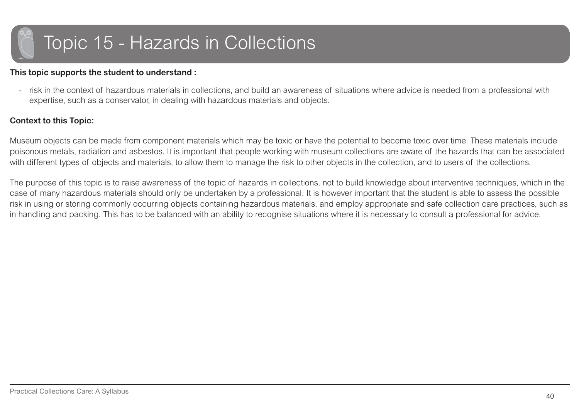<span id="page-39-0"></span>

#### **This topic supports the student to understand :**

- risk in the context of hazardous materials in collections, and build an awareness of situations where advice is needed from a professional with expertise, such as a conservator, in dealing with hazardous materials and objects.

#### **Context to this Topic:**

Museum objects can be made from component materials which may be toxic or have the potential to become toxic over time. These materials include poisonous metals, radiation and asbestos. It is important that people working with museum collections are aware of the hazards that can be associated with different types of objects and materials, to allow them to manage the risk to other objects in the collection, and to users of the collections.

The purpose of this topic is to raise awareness of the topic of hazards in collections, not to build knowledge about interventive techniques, which in the case of many hazardous materials should only be undertaken by a professional. It is however important that the student is able to assess the possible risk in using or storing commonly occurring objects containing hazardous materials, and employ appropriate and safe collection care practices, such as in handling and packing. This has to be balanced with an ability to recognise situations where it is necessary to consult a professional for advice.